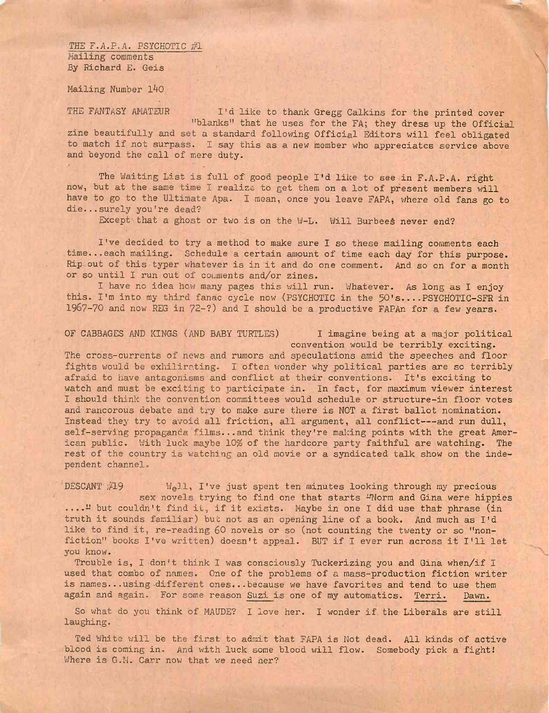*THE F.A.P.A. PSYCHOTIC #1* Nailing comments By Richard E. Geis

Mailing Number 140

THE FANTASY AMATEUR I'd like to thank Gregg Calkins for the printed cover

''blanks" that he uses for the FA; they dress up the Official zine beautifully and set a standard following Official Editors will feel obligated to match if not surpass. I say this as a new member who appreciates service above and beyond the call of mere duty.

The Waiting List is full of good people I'd like to see in F.A.P.A. right now, but at the same time I realize to get them on a lot of present members will have to go to the Ultimate Apa. I mean, once you leave FAPA, where old fans go to die...surely you're dead?

Except that a ghost or two is on the W-L. Will Burbees never end?

I've decided to try a method to make sure I so these mailing comments each time...each mailing. Schedule a certain amount of time each day for this purpose. Rip out of this typer whatever is in it and do one comment. And so on for a month or so until I run out of comments and/or zines.

I have no idea how many pages this will run. Whatever. As long as I enjoy this. I'm into my third fanac cycle now (PSYCHOTIC in the 50's....PSYCHOTIC-SFR in 1967-70 and now REG in 72-?) and I should be a productive FAPAn for a few years.

OF CABBAGES AND KINGS (AND BABY TURTLES) I imagine being at a major political convention would be terribly exciting.

The cross-currents of news and rumors and speculations amid the speeches and floor fights would be exhilirating. I often wonder why political parties are so terribly afraid to have antagonisms and conflict at their conventions. It's exciting to watch and must be exciting to participate in. In fact, for maximum viewer interest I should think the convention committees would schedule or structure-in floor votes and rancorous debate and try to make sure there is NOT a first ballot nomination. Instead they try to avoid all friction, all argument, all conflict-- and run dull, self-serving propaganda films...and think they're making points with the great American public. With luck maybe 10% of the hardcore party faithful are watching. The rest of the country is watching an old movie or a syndicated talk show on the independent channel.

DESCANT  $#19$  Well, I've just spent ten minutes looking through my precious sex novels trying to find one that starts <sup>IN</sup>Norm and Gina were hippies ...." but couldn't find it, if it exists. Maybe in one I did use that phrase (in truth it sounds familiar) but not as an opening line of a book. And much as I'd like to find it, re-reading 60 novels or so (not counting the twenty or so "nonfiction" books I've written) doesn't appeal. BUT if I ever run across it I'll let you know.

Trouble is, <sup>I</sup> don't think <sup>I</sup> was consciously Tuckerizing you and Gina when/if <sup>I</sup> used that combo of names. One of the problems of a mass-production fiction writer is names...using-different ones...because we have favorites and tend to use them again and again. For some reason Suzi is one of my automatics. Terri. Dawn.

So what do you think of MAUDE? I love her. I wonder if the Liberals are still laughing.

Ted White will be the first to admit that FAPA is Not dead. All kinds of active blood is coming in. And with luck some blood will flow. Somebody pick a fight! Where is G.M. Carr now that we need ner?